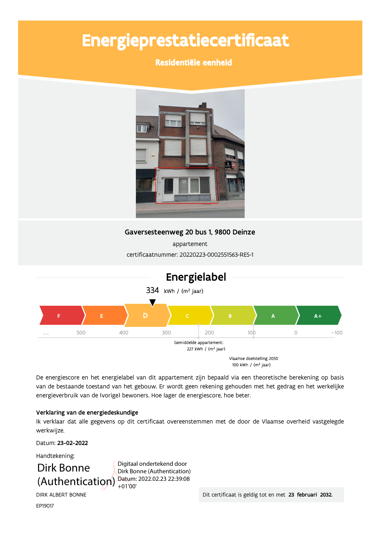# Energieprestatiecertificaat

# Residentiële eenheid



# Gaversesteenweg 20 bus 1, 9800 Deinze

appartement certificaatnummer: 20220223-0002551563-RES-1



De energiescore en het energielabel van dit appartement zijn bepaald via een theoretische berekening op basis van de bestaande toestand van het gebouw. Er wordt geen rekening gehouden met het gedrag en het werkelijke energieverbruik van de (vorige) bewoners. Hoe lager de energiescore, hoe beter.

### Verklaring van de energiedeskundige

Ik verklaar dat alle gegevens op dit certificaat overeenstemmen met de door de Vlaamse overheid vastgelegde werkwijze.

Datum: 23-02-2022

Handtekening:

Dirk Bonne (Authentication) Datum: 2022.02.23 22:39:08

Digitaal ondertekend door Dirk Bonne (Authentication)

DIRK ALBERT BONNE

Dit certificaat is geldig tot en met 23 februari 2032.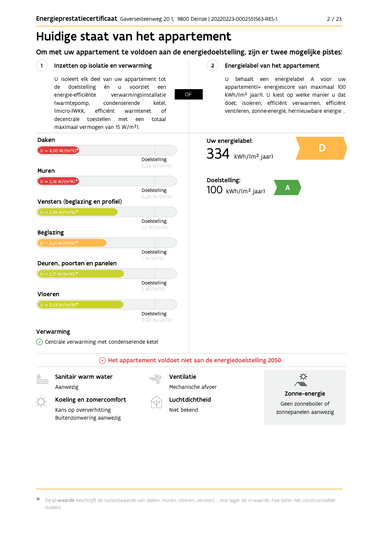# Huidige staat van het appartement

Om met uw appartement te voldoen aan de energiedoelstelling, zijn er twee mogelijke pistes:

**OF** 

 $2^{\circ}$ 

#### $(1)$ Inzetten op isolatie en verwarming

Kans op oververhitting

Buitenzonwering aanwezig

U isoleert elk deel van uw appartement tot doelstelling voorziet de én  $\sf u$ een energie-efficiënte verwarmingsinstallatie (warmtepomp, condenserende ketel. (micro-)WKK. efficiënt warmtenet  $\bigcap_{ }$ decentrale toestellen met een totaal maximaal vermogen van 15 W/m<sup>2</sup>).

Energielabel van het appartement

U behaalt een energielabel A voor  $\overline{U}$ appartement(= energiescore van maximaal 100 kWh/(m<sup>2</sup> jaar)). U kiest op welke manier u dat doet: isoleren, efficiënt verwarmen, efficiënt ventileren, zonne-energie, hernieuwbare energie ...

zonnepanelen aanwezig



Niet bekend

De U-waarde beschrijft de isolatiewaarde van daken, muren, vloeren, vensters ... Hoe lager de U-waarde, hoe beter het constructiedeel isoleert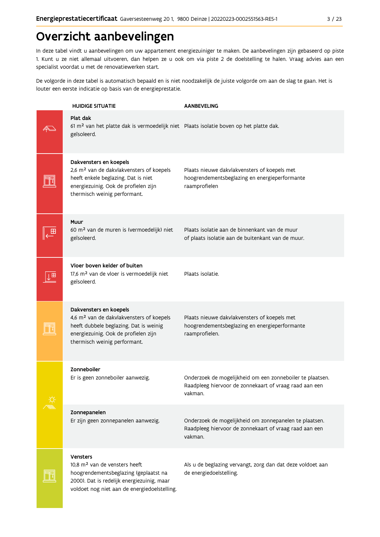# Overzicht aanbevelingen

In deze tabel vindt u aanbevelingen om uw appartement energiezuiniger te maken. De aanbevelingen zijn gebaseerd op piste 1. Kunt u ze niet allemaal uitvoeren, dan helpen ze u ook om via piste 2 de doelstelling te halen. Vraag advies aan een specialist voordat u met de renovatiewerken start.

De volgorde in deze tabel is automatisch bepaald en is niet noodzakelijk de juiste volgorde om aan de slag te gaan. Het is louter een eerste indicatie op basis van de energieprestatie.

|   | <b>HUIDIGE SITUATIE</b>                                                                                                                                                                             | <b>AANBEVELING</b>                                                                                                             |
|---|-----------------------------------------------------------------------------------------------------------------------------------------------------------------------------------------------------|--------------------------------------------------------------------------------------------------------------------------------|
|   | Plat dak<br>61 m <sup>2</sup> van het platte dak is vermoedelijk niet Plaats isolatie boven op het platte dak.<br>geïsoleerd.                                                                       |                                                                                                                                |
|   | Dakvensters en koepels<br>2,6 m <sup>2</sup> van de dakvlakvensters of koepels<br>heeft enkele beglazing. Dat is niet<br>energiezuinig. Ook de profielen zijn<br>thermisch weinig performant.       | Plaats nieuwe dakvlakvensters of koepels met<br>hoogrendementsbeglazing en energieperformante<br>raamprofielen                 |
|   | Muur<br>60 m <sup>2</sup> van de muren is (vermoedelijk) niet<br>geïsoleerd.                                                                                                                        | Plaats isolatie aan de binnenkant van de muur<br>of plaats isolatie aan de buitenkant van de muur.                             |
| ш | Vloer boven kelder of buiten<br>17,6 m <sup>2</sup> van de vloer is vermoedelijk niet<br>geïsoleerd.                                                                                                | Plaats isolatie.                                                                                                               |
|   | Dakvensters en koepels<br>4,6 m <sup>2</sup> van de dakvlakvensters of koepels<br>heeft dubbele beglazing. Dat is weinig<br>energiezuinig. Ook de profielen zijn<br>thermisch weinig performant.    | Plaats nieuwe dakvlakvensters of koepels met<br>hoogrendementsbeglazing en energieperformante<br>raamprofielen.                |
|   | Zonneboiler<br>Er is geen zonneboiler aanwezig.                                                                                                                                                     | Onderzoek de mogelijkheid om een zonneboiler te plaatsen.<br>Raadpleeg hiervoor de zonnekaart of vraag raad aan een<br>vakman. |
|   | Zonnepanelen<br>Er zijn geen zonnepanelen aanwezig.                                                                                                                                                 | Onderzoek de mogelijkheid om zonnepanelen te plaatsen.<br>Raadpleeg hiervoor de zonnekaart of vraag raad aan een<br>vakman.    |
|   | <b>Vensters</b><br>10,8 m <sup>2</sup> van de vensters heeft<br>hoogrendementsbeglazing (geplaatst na<br>2000). Dat is redelijk energiezuinig, maar<br>voldoet nog niet aan de energiedoelstelling. | Als u de beglazing vervangt, zorg dan dat deze voldoet aan<br>de energiedoelstelling.                                          |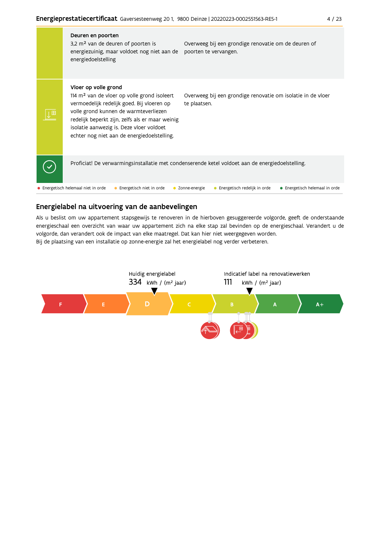| Deuren en poorten<br>3,2 m <sup>2</sup> van de deuren of poorten is<br>energiezuinig, maar voldoet nog niet aan de<br>energiedoelstelling                                                                                                                                                                  | Overweeg bij een grondige renovatie om de deuren of<br>poorten te vervangen.                     |
|------------------------------------------------------------------------------------------------------------------------------------------------------------------------------------------------------------------------------------------------------------------------------------------------------------|--------------------------------------------------------------------------------------------------|
| Vloer op volle grond<br>114 $m2$ van de vloer op volle grond isoleert<br>vermoedelijk redelijk goed. Bij vloeren op<br>volle grond kunnen de warmteverliezen<br>redelijk beperkt zijn, zelfs als er maar weinig<br>isolatie aanwezig is. Deze vloer voldoet<br>echter nog niet aan de energiedoelstelling. | Overweeg bij een grondige renovatie om isolatie in de vloer<br>te plaatsen.                      |
|                                                                                                                                                                                                                                                                                                            | Proficiat! De verwarmingsinstallatie met condenserende ketel voldoet aan de energiedoelstelling. |
| • Energetisch helemaal niet in orde<br>• Energetisch niet in orde                                                                                                                                                                                                                                          | Energetisch redelijk in orde<br>• Energetisch helemaal in orde<br>Zonne-energie                  |

# Energielabel na uitvoering van de aanbevelingen

Als u beslist om uw appartement stapsgewijs te renoveren in de hierboven gesuggereerde volgorde, geeft de onderstaande energieschaal een overzicht van waar uw appartement zich na elke stap zal bevinden op de energieschaal. Verandert u de volgorde, dan verandert ook de impact van elke maatregel. Dat kan hier niet weergegeven worden. Bij de plaatsing van een installatie op zonne-energie zal het energielabel nog verder verbeteren.

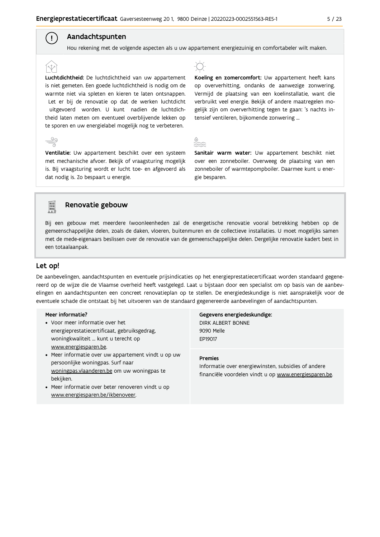## Aandachtspunten

Hou rekening met de volgende aspecten als u uw appartement energiezuinig en comfortabeler wilt maken.

Luchtdichtheid: De luchtdichtheid van uw appartement is niet gemeten. Een goede luchtdichtheid is nodig om de warmte niet via spleten en kieren te laten ontsnappen. Let er bij de renovatie op dat de werken luchtdicht uitgevoerd worden. U kunt nadien de luchtdichtheid laten meten om eventueel overblijvende lekken op te sporen en uw energielabel mogelijk nog te verbeteren.

Ventilatie: Uw appartement beschikt over een systeem met mechanische afvoer. Bekijk of vraagsturing mogelijk is. Bij vraagsturing wordt er lucht toe- en afgevoerd als dat nodig is. Zo bespaart u energie.



Koeling en zomercomfort: Uw appartement heeft kans op oververhitting, ondanks de aanwezige zonwering. Vermijd de plaatsing van een koelinstallatie, want die verbruikt veel energie. Bekijk of andere maatregelen mogelijk zijn om oververhitting tegen te gaan: 's nachts intensief ventileren, bijkomende zonwering ...



Sanitair warm water: Uw appartement beschikt niet over een zonneboiler. Overweeg de plaatsing van een zonneboiler of warmtepompboiler. Daarmee kunt u energie besparen.



 $\left( \begin{array}{c} 1 \end{array} \right)$ 

# Renovatie gebouw

Bij een gebouw met meerdere (woon)eenheden zal de energetische renovatie vooral betrekking hebben op de gemeenschappelijke delen, zoals de daken, vloeren, buitenmuren en de collectieve installaties. U moet mogelijks samen met de mede-eigenaars beslissen over de renovatie van de gemeenschappelijke delen. Dergelijke renovatie kadert best in een totaalaanpak.

### Let op!

De aanbevelingen, aandachtspunten en eventuele prijsindicaties op het energieprestatiecertificaat worden standaard gegenereerd op de wijze die de Vlaamse overheid heeft vastgelegd. Laat u bijstaan door een specialist om op basis van de aanbevelingen en aandachtspunten een concreet renovatieplan op te stellen. De energiedeskundige is niet aansprakelijk voor de eventuele schade die ontstaat bij het uitvoeren van de standaard gegenereerde aanbevelingen of aandachtspunten.

#### Meer informatie?

- Voor meer informatie over het energieprestatiecertificaat, gebruiksgedrag, woningkwaliteit ... kunt u terecht op www.energiesparen.be.
- Meer informatie over uw appartement vindt u op uw persoonlijke woningpas. Surf naar woningpas.vlaanderen.be om uw woningpas te bekijken.
- Meer informatie over beter renoveren vindt u op www.energiesparen.be/ikbenoveer.

Gegevens energiedeskundige: **DIRK ALBERT BONNE** 9090 Melle EP19017

### **Premies**

Informatie over energiewinsten, subsidies of andere financiële voordelen vindt u op www.energiesparen.be.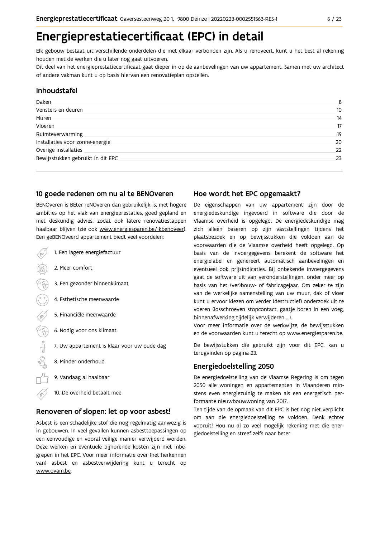# Energieprestatiecertificaat (EPC) in detail

Elk gebouw bestaat uit verschillende onderdelen die met elkaar verbonden zijn. Als u renoveert, kunt u het best al rekening houden met de werken die u later nog gaat uitvoeren.

Dit deel van het energieprestatiecertificaat gaat dieper in op de aanbevelingen van uw appartement. Samen met uw architect of andere vakman kunt u op basis hiervan een renovatieplan opstellen.

### Inhoudstafel

| Daken.                             | 8  |
|------------------------------------|----|
| Vensters en deuren                 | 10 |
| Muren.                             | 14 |
| Vloeren                            | 17 |
| Ruimteverwarming                   | 19 |
| Installaties voor zonne-energie.   | 20 |
| Overige installaties               | 22 |
| Bewijsstukken gebruikt in dit EPC. | 23 |
|                                    |    |

### 10 goede redenen om nu al te BENOveren

BENOveren is BEter reNOveren dan gebruikelijk is, met hogere ambities op het vlak van energieprestaties, goed gepland en met deskundig advies, zodat ook latere renovatiestappen haalbaar blijven (zie ook www.energiesparen.be/ikbenoveer). Een geBENOveerd appartement biedt veel voordelen:

- 1. Een lagere energiefactuur 2. Meer comfort 3. Een gezonder binnenklimaat 4. Esthetische meerwaarde 5. Financiële meerwaarde  $\frac{1}{2}$ 6. Nodig voor ons klimaat 7. Uw appartement is klaar voor uw oude dag 8. Minder onderhoud 9. Vandaag al haalbaar
	- 10. De overheid betaalt mee

### Renoveren of slopen: let op voor asbest!

Asbest is een schadelijke stof die nog regelmatig aanwezig is in gebouwen. In veel gevallen kunnen asbesttoepassingen op een eenvoudige en vooral veilige manier verwijderd worden. Deze werken en eventuele bijhorende kosten zijn niet inbegrepen in het EPC. Voor meer informatie over (het herkennen van) asbest en asbestverwijdering kunt u terecht op www.ovam.be.

## Hoe wordt het EPC opgemaakt?

De eigenschappen van uw appartement zijn door de energiedeskundige ingevoerd in software die door de Vlaamse overheid is opgelegd. De energiedeskundige mag zich alleen baseren op zijn vaststellingen tijdens het plaatsbezoek en op bewijsstukken die voldoen aan de voorwaarden die de Vlaamse overheid heeft opgelegd. Op basis van de invoergegevens berekent de software het energielabel en genereert automatisch aanbevelingen en eventueel ook prijsindicaties. Bij onbekende invoergegevens gaat de software uit van veronderstellingen, onder meer op basis van het (ver)bouw- of fabricagejaar. Om zeker te zijn van de werkelijke samenstelling van uw muur, dak of vloer kunt u ervoor kiezen om verder (destructief) onderzoek uit te voeren (losschroeven stopcontact, gaatje boren in een voeg, binnenafwerking tijdelijk verwijderen ...).

Voor meer informatie over de werkwijze, de bewijsstukken en de voorwaarden kunt u terecht op www.energiesparen.be.

De bewijsstukken die gebruikt zijn voor dit EPC, kan u terugvinden op pagina 23.

### **Energiedoelstelling 2050**

De energiedoelstelling van de Vlaamse Regering is om tegen 2050 alle woningen en appartementen in Vlaanderen minstens even energiezuinig te maken als een energetisch performante nieuwbouwwoning van 2017.

Ten tijde van de opmaak van dit EPC is het nog niet verplicht om aan die energiedoelstelling te voldoen. Denk echter vooruit! Hou nu al zo veel mogelijk rekening met die energiedoelstelling en streef zelfs naar beter.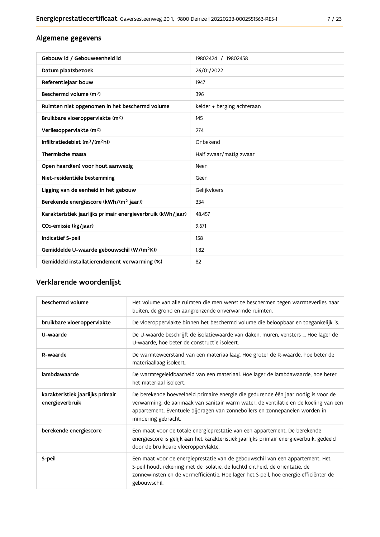# Algemene gegevens

| Gebouw id / Gebouweenheid id                                | 19802424 / 19802458        |
|-------------------------------------------------------------|----------------------------|
| Datum plaatsbezoek                                          | 26/01/2022                 |
| Referentiejaar bouw                                         | 1947                       |
| Beschermd volume (m <sup>3</sup> )                          | 396                        |
| Ruimten niet opgenomen in het beschermd volume              | kelder + berging achteraan |
| Bruikbare vloeroppervlakte (m <sup>2</sup> )                | 145                        |
| Verliesoppervlakte (m <sup>2</sup> )                        | 274                        |
| Infiltratiedebiet $(m^3/(m^2h))$                            | Onbekend                   |
| Thermische massa                                            | Half zwaar/matig zwaar     |
| Open haard(en) voor hout aanwezig                           | Neen                       |
| Niet-residentiële bestemming                                | Geen                       |
| Ligging van de eenheid in het gebouw                        | Gelijkvloers               |
| Berekende energiescore (kWh/(m <sup>2</sup> jaar))          | 334                        |
| Karakteristiek jaarlijks primair energieverbruik (kWh/jaar) | 48.457                     |
| CO <sub>2</sub> -emissie (kg/jaar)                          | 9.671                      |
| Indicatief S-peil                                           | 158                        |
| Gemiddelde U-waarde gebouwschil (W/(m <sup>2</sup> K))      | 1.82                       |
| Gemiddeld installatierendement verwarming (%)               | 82                         |

# Verklarende woordenlijst

| beschermd volume                                    | Het volume van alle ruimten die men wenst te beschermen tegen warmteverlies naar<br>buiten, de grond en aangrenzende onverwarmde ruimten.                                                                                                                                      |
|-----------------------------------------------------|--------------------------------------------------------------------------------------------------------------------------------------------------------------------------------------------------------------------------------------------------------------------------------|
| bruikbare vloeroppervlakte                          | De vloeroppervlakte binnen het beschermd volume die beloopbaar en toegankelijk is.                                                                                                                                                                                             |
| U-waarde                                            | De U-waarde beschrijft de isolatiewaarde van daken, muren, vensters  Hoe lager de<br>U-waarde, hoe beter de constructie isoleert.                                                                                                                                              |
| R-waarde                                            | De warmteweerstand van een materiaallaag. Hoe groter de R-waarde, hoe beter de<br>materiaallaag isoleert.                                                                                                                                                                      |
| lambdawaarde                                        | De warmtegeleidbaarheid van een materiaal. Hoe lager de lambdawaarde, hoe beter<br>het materiaal isoleert.                                                                                                                                                                     |
| karakteristiek jaarlijks primair<br>energieverbruik | De berekende hoeveelheid primaire energie die gedurende één jaar nodig is voor de<br>verwarming, de aanmaak van sanitair warm water, de ventilatie en de koeling van een<br>appartement. Eventuele bijdragen van zonneboilers en zonnepanelen worden in<br>mindering gebracht. |
| berekende energiescore                              | Een maat voor de totale energieprestatie van een appartement. De berekende<br>energiescore is gelijk aan het karakteristiek jaarlijks primair energieverbuik, gedeeld<br>door de bruikbare vloeroppervlakte.                                                                   |
| S-peil                                              | Een maat voor de energieprestatie van de gebouwschil van een appartement. Het<br>S-peil houdt rekening met de isolatie, de luchtdichtheid, de oriëntatie, de<br>zonnewinsten en de vormefficiëntie. Hoe lager het S-peil, hoe energie-efficiënter de<br>gebouwschil.           |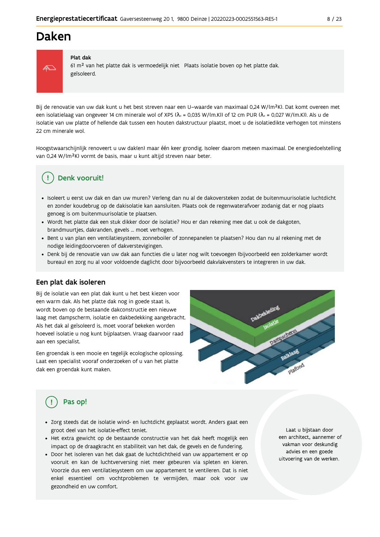# Daken



#### Plat dak

61 m<sup>2</sup> van het platte dak is vermoedelijk niet Plaats isolatie boven op het platte dak. geïsoleerd.

Bij de renovatie van uw dak kunt u het best streven naar een U-waarde van maximaal 0,24 W/(m<sup>2</sup>K). Dat komt overeen met een isolatielaag van ongeveer 14 cm minerale wol of XPS ( $\lambda_a$  = 0,035 W/(m.K)) of 12 cm PUR ( $\lambda_a$  = 0,027 W/(m.K)). Als u de isolatie van uw platte of hellende dak tussen een houten dakstructuur plaatst, moet u de isolatiedikte verhogen tot minstens 22 cm minerale wol.

Hoogstwaarschijnlijk renoveert u uw daklen) maar één keer grondig. Isoleer daarom meteen maximaal. De energiedoelstelling van 0,24 W/(m<sup>2</sup>K) vormt de basis, maar u kunt altijd streven naar beter.

# Denk vooruit!

- · Isoleert u eerst uw dak en dan uw muren? Verleng dan nu al de dakoversteken zodat de buitenmuurisolatie luchtdicht en zonder koudebrug op de dakisolatie kan aansluiten. Plaats ook de regenwaterafvoer zodanig dat er nog plaats genoeg is om buitenmuurisolatie te plaatsen.
- · Wordt het platte dak een stuk dikker door de isolatie? Hou er dan rekening mee dat u ook de dakgoten, brandmuurtjes, dakranden, gevels ... moet verhogen.
- Bent u van plan een ventilatiesysteem, zonneboiler of zonnepanelen te plaatsen? Hou dan nu al rekening met de nodige leidingdoorvoeren of dakverstevigingen.
- · Denk bij de renovatie van uw dak aan functies die u later nog wilt toevoegen (bijvoorbeeld een zolderkamer wordt bureau) en zorg nu al voor voldoende daglicht door bijvoorbeeld dakvlakvensters te integreren in uw dak.

## Een plat dak isoleren

Bij de isolatie van een plat dak kunt u het best kiezen voor een warm dak. Als het platte dak nog in goede staat is, wordt boven op de bestaande dakconstructie een nieuwe laag met dampscherm, isolatie en dakbedekking aangebracht. Als het dak al geïsoleerd is, moet vooraf bekeken worden hoeveel isolatie u nog kunt bijplaatsen. Vraag daarvoor raad aan een specialist.

Een groendak is een mooie en tegelijk ecologische oplossing. Laat een specialist vooraf onderzoeken of u van het platte dak een groendak kunt maken.



# Pas op!

- · Zorg steeds dat de isolatie wind- en luchtdicht geplaatst wordt. Anders gaat een groot deel van het isolatie-effect teniet.
- · Het extra gewicht op de bestaande constructie van het dak heeft mogelijk een impact op de draagkracht en stabiliteit van het dak, de gevels en de fundering.
- · Door het isoleren van het dak gaat de luchtdichtheid van uw appartement er op vooruit en kan de luchtverversing niet meer gebeuren via spleten en kieren. Voorzie dus een ventilatiesysteem om uw appartement te ventileren. Dat is niet enkel essentieel om vochtproblemen te vermijden, maar ook voor uw gezondheid en uw comfort.

Laat u bijstaan door een architect, aannemer of vakman voor deskundig advies en een goede uitvoering van de werken.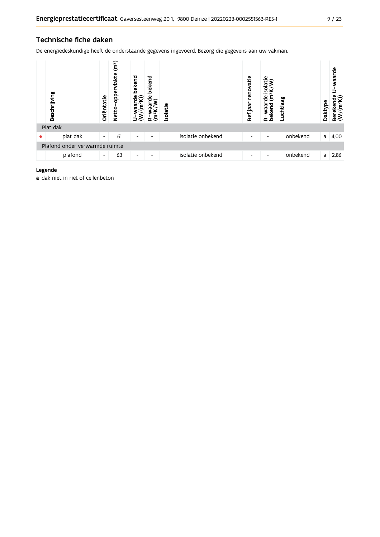# Technische fiche daken

De energiedeskundige heeft de onderstaande gegevens ingevoerd. Bezorg die gegevens aan uw vakman.

| Beschrijving                   | Oriëntatie               | (m <sup>2</sup> )<br>lakte<br>oppe<br><b>Netto</b> | bekend<br>waarde<br>/(m <sup>2</sup> K))<br>$\tilde{\mathbf{E}}$<br>∍ | bekend<br>은<br>È<br>≃ | Isolatie |                   | renovatie<br>Ref jaar | ω<br>isolati<br>$\mathsf{g}% _{T}$<br>bekend<br>waar<br>≃ | Luchtlaag | Daktype | waarde<br>รื<br>Berekend<br>(W/(m <sup>2</sup> K |
|--------------------------------|--------------------------|----------------------------------------------------|-----------------------------------------------------------------------|-----------------------|----------|-------------------|-----------------------|-----------------------------------------------------------|-----------|---------|--------------------------------------------------|
| Plat dak                       |                          |                                                    |                                                                       |                       |          |                   |                       |                                                           |           |         |                                                  |
| plat dak                       | $\overline{\phantom{a}}$ | 61                                                 | $\overline{\phantom{a}}$                                              | $\overline{a}$        |          | isolatie onbekend | ٠                     | ٠                                                         | onbekend  | a       | 4,00                                             |
| Plafond onder verwarmde ruimte |                          |                                                    |                                                                       |                       |          |                   |                       |                                                           |           |         |                                                  |
| plafond                        | $\overline{\phantom{a}}$ | 63                                                 | $\overline{\phantom{a}}$                                              | $\overline{a}$        |          | isolatie onbekend | ٠                     | ٠                                                         | onbekend  | a       | 2,86                                             |

#### Legende

a dak niet in riet of cellenbeton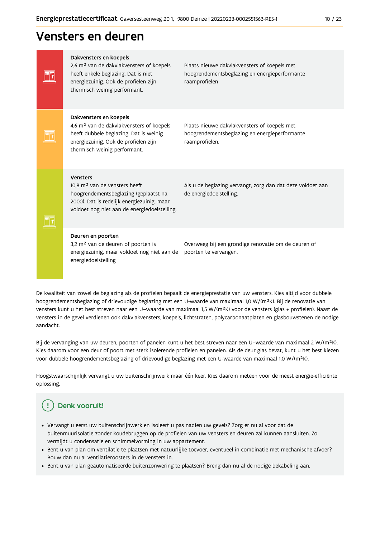# Vensters en deuren

| Dakvensters en koepels<br>2,6 m <sup>2</sup> van de dakvlakvensters of koepels<br>heeft enkele beglazing. Dat is niet<br>energiezuinig. Ook de profielen zijn<br>thermisch weinig performant.    | Plaats nieuwe dakvlakvensters of koepels met<br>hoogrendementsbeglazing en energieperformante<br>raamprofielen  |
|--------------------------------------------------------------------------------------------------------------------------------------------------------------------------------------------------|-----------------------------------------------------------------------------------------------------------------|
| Dakvensters en koepels<br>4,6 m <sup>2</sup> van de dakvlakvensters of koepels<br>heeft dubbele beglazing. Dat is weinig<br>energiezuinig. Ook de profielen zijn<br>thermisch weinig performant. | Plaats nieuwe dakvlakvensters of koepels met<br>hoogrendementsbeglazing en energieperformante<br>raamprofielen. |
| Vensters<br>10.8 m <sup>2</sup> van de vensters heeft<br>hoogrendementsbeglazing (geplaatst na<br>2000). Dat is redelijk energiezuinig, maar<br>voldoet nog niet aan de energiedoelstelling.     | Als u de beglazing vervangt, zorg dan dat deze voldoet aan<br>de energiedoelstelling.                           |
| Deuren en poorten<br>3,2 m <sup>2</sup> van de deuren of poorten is<br>energiezuinig, maar voldoet nog niet aan de<br>energiedoelstelling                                                        | Overweeg bij een grondige renovatie om de deuren of<br>poorten te vervangen.                                    |

De kwaliteit van zowel de beglazing als de profielen bepaalt de energieprestatie van uw vensters. Kies altijd voor dubbele hoogrendementsbeglazing of drievoudige beglazing met een U-waarde van maximaal 1,0 W/(m<sup>2</sup>K). Bij de renovatie van vensters kunt u het best streven naar een U-waarde van maximaal 1,5 W/(m<sup>2</sup>K) voor de vensters (glas + profielen). Naast de vensters in de gevel verdienen ook dakvlakvensters, koepels, lichtstraten, polycarbonaatplaten en glasbouwstenen de nodige aandacht.

Bij de vervanging van uw deuren, poorten of panelen kunt u het best streven naar een U-waarde van maximaal 2 W/(m<sup>2</sup>K). Kies daarom voor een deur of poort met sterk isolerende profielen en panelen. Als de deur glas bevat, kunt u het best kiezen voor dubbele hoogrendementsbeglazing of drievoudige beglazing met een U-waarde van maximaal 1,0 W/(m<sup>2</sup>K).

Hoogstwaarschijnlijk vervangt u uw buitenschrijnwerk maar één keer. Kies daarom meteen voor de meest energie-efficiënte oplossing.

# Denk vooruit!

- Vervangt u eerst uw buitenschrijnwerk en isoleert u pas nadien uw gevels? Zorg er nu al voor dat de buitenmuurisolatie zonder koudebruggen op de profielen van uw vensters en deuren zal kunnen aansluiten. Zo vermijdt u condensatie en schimmelvorming in uw appartement.
- Bent u van plan om ventilatie te plaatsen met natuurlijke toevoer, eventueel in combinatie met mechanische afvoer? Bouw dan nu al ventilatieroosters in de vensters in.
- · Bent u van plan geautomatiseerde buitenzonwering te plaatsen? Breng dan nu al de nodige bekabeling aan.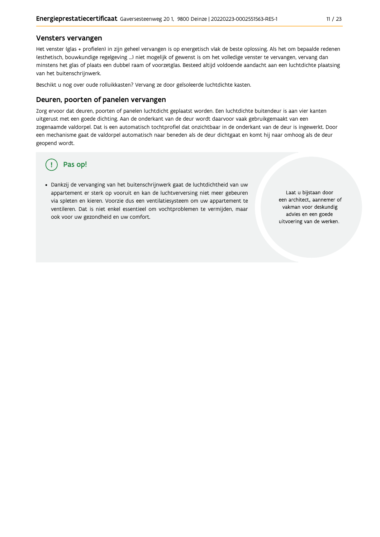#### Vensters vervangen

Het venster (glas + profielen) in zijn geheel vervangen is op energetisch vlak de beste oplossing. Als het om bepaalde redenen (esthetisch, bouwkundige regelgeving ...) niet mogelijk of gewenst is om het volledige venster te vervangen, vervang dan minstens het glas of plaats een dubbel raam of voorzetglas. Besteed altijd voldoende aandacht aan een luchtdichte plaatsing van het buitenschrijnwerk.

Beschikt u nog over oude rolluikkasten? Vervang ze door geïsoleerde luchtdichte kasten.

#### Deuren, poorten of panelen vervangen

Zorg ervoor dat deuren, poorten of panelen luchtdicht geplaatst worden. Een luchtdichte buitendeur is aan vier kanten uitgerust met een goede dichting. Aan de onderkant van de deur wordt daarvoor vaak gebruikgemaakt van een zogenaamde valdorpel. Dat is een automatisch tochtprofiel dat onzichtbaar in de onderkant van de deur is ingewerkt. Door een mechanisme gaat de valdorpel automatisch naar beneden als de deur dichtgaat en komt hij naar omhoog als de deur geopend wordt.

# Pas op!

· Dankzij de vervanging van het buitenschrijnwerk gaat de luchtdichtheid van uw appartement er sterk op vooruit en kan de luchtverversing niet meer gebeuren via spleten en kieren. Voorzie dus een ventilatiesysteem om uw appartement te ventileren. Dat is niet enkel essentieel om vochtproblemen te vermijden, maar ook voor uw gezondheid en uw comfort.

Laat u bijstaan door een architect, aannemer of vakman voor deskundig advies en een goede uitvoering van de werken.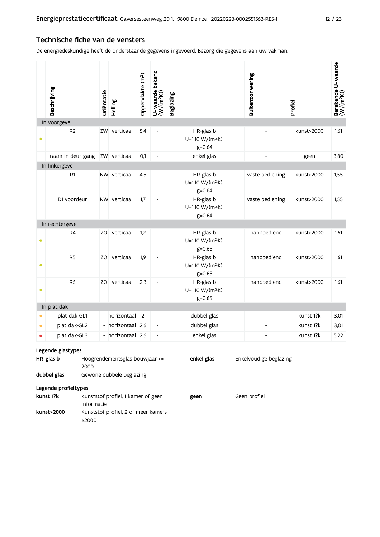### Technische fiche van de vensters

De energiedeskundige heeft de onderstaande gegevens ingevoerd. Bezorg die gegevens aan uw vakman.

|           | Beschrijving                                                                                                     | Oriëntatie | Helling           | Oppervlakte (m <sup>2</sup> ) | U-waarde bekend<br>(W/(m <sup>2</sup> K)) | <b>Beglazing</b>                                       | Buitenzonwering          | Profiel    | Berekende U-waarde<br>(W/(m <sup>2</sup> K)) |  |  |
|-----------|------------------------------------------------------------------------------------------------------------------|------------|-------------------|-------------------------------|-------------------------------------------|--------------------------------------------------------|--------------------------|------------|----------------------------------------------|--|--|
|           | In voorgevel                                                                                                     |            |                   |                               |                                           |                                                        |                          |            |                                              |  |  |
| ٠         | R <sub>2</sub>                                                                                                   |            | ZW verticaal      | 5,4                           |                                           | HR-glas b<br>U=1,10 W/(m <sup>2</sup> K)<br>g=0,64     |                          | kunst>2000 | 1,61                                         |  |  |
|           | raam in deur gang                                                                                                |            | ZW verticaal      | 0.1                           | $\blacksquare$                            | enkel glas                                             | $\overline{\phantom{a}}$ | geen       | 3,80                                         |  |  |
|           | In linkergevel                                                                                                   |            |                   |                               |                                           |                                                        |                          |            |                                              |  |  |
|           | R1                                                                                                               |            | NW verticaal      | 4,5                           | ٠                                         | HR-glas b<br>U=1,10 W/(m <sup>2</sup> K)<br>$g = 0,64$ | vaste bediening          | kunst>2000 | 1,55                                         |  |  |
|           | D1 voordeur                                                                                                      |            | NW verticaal      | 1,7                           | $\overline{\phantom{a}}$                  | HR-glas b<br>U=1,10 W/(m <sup>2</sup> K)<br>$g = 0,64$ | vaste bediening          | kunst>2000 | 1,55                                         |  |  |
|           | In rechtergevel                                                                                                  |            |                   |                               |                                           |                                                        |                          |            |                                              |  |  |
| ٠         | R <sub>4</sub>                                                                                                   |            | ZO verticaal      | 1,2                           |                                           | HR-glas b<br>U=1,10 W/(m <sup>2</sup> K)<br>$g = 0,65$ | handbediend              | kunst>2000 | 1,61                                         |  |  |
| $\bullet$ | R <sub>5</sub>                                                                                                   |            | ZO verticaal      | 1,9                           | $\blacksquare$                            | HR-glas b<br>$U=1,10 W/(m^2K)$<br>$g = 0,65$           | handbediend              | kunst>2000 | 1,61                                         |  |  |
| $\bullet$ | R <sub>6</sub>                                                                                                   |            | ZO verticaal      | 2,3                           | $\blacksquare$                            | HR-glas b<br>$U=1,10 W/(m^2K)$<br>$g = 0,65$           | handbediend              | kunst>2000 | 1,61                                         |  |  |
|           | In plat dak                                                                                                      |            |                   |                               |                                           |                                                        |                          |            |                                              |  |  |
|           | plat dak-GL1                                                                                                     |            | - horizontaal     | $\overline{2}$                |                                           | dubbel glas                                            |                          | kunst 1?k  | 3,01                                         |  |  |
| $\bullet$ | plat dak-GL2                                                                                                     |            | - horizontaal 2,6 |                               | $\blacksquare$                            | dubbel glas                                            | ä,                       | kunst 1?k  | 3,01                                         |  |  |
|           | plat dak-GL3                                                                                                     |            | - horizontaal 2,6 |                               | $\overline{\phantom{a}}$                  | enkel glas                                             | $\overline{a}$           | kunst 1?k  | 5,22                                         |  |  |
|           | Legende glastypes<br>enkel glas<br>Enkelvoudige beglazing<br>HR-glas b<br>Hoogrendementsglas bouwjaar >=<br>2000 |            |                   |                               |                                           |                                                        |                          |            |                                              |  |  |

Geen profiel

dubbel glas Gewone dubbele beglazing

Legende profieltypes

kunst 1?k Kunststof profiel, 1 kamer of geen geen informatie kunst>2000 Kunststof profiel, 2 of meer kamers ≥2000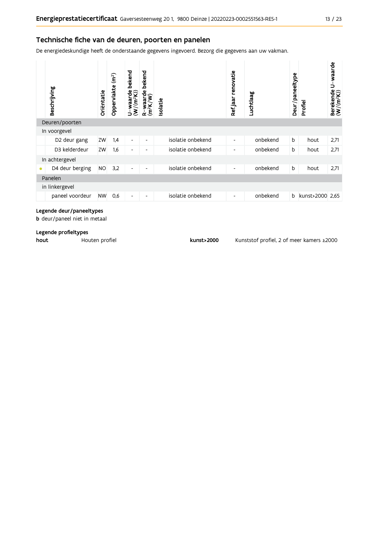De energiedeskundige heeft de onderstaande gegevens ingevoerd. Bezorg die gegevens aan uw vakman.

|           | Beschrijving    | Oriëntatie | (m <sup>2</sup> )<br>Oppervlakte | bekend<br>$U$ -waarde<br>(W/(m <sup>2</sup> K)) | bekend<br>$\frac{W}{2}$ waarde<br>$(m^2K)$<br>๔ | <b>Isolatie</b> |                   | Ref jaar renovatie       | Luchtlaag | Deur/paneeltype | Profiel         | U-waarde<br>Berekende I<br>(W/(m <sup>2</sup> K)) |
|-----------|-----------------|------------|----------------------------------|-------------------------------------------------|-------------------------------------------------|-----------------|-------------------|--------------------------|-----------|-----------------|-----------------|---------------------------------------------------|
|           | Deuren/poorten  |            |                                  |                                                 |                                                 |                 |                   |                          |           |                 |                 |                                                   |
|           | In voorgevel    |            |                                  |                                                 |                                                 |                 |                   |                          |           |                 |                 |                                                   |
|           | D2 deur gang    | ZW         | 1,4                              | $\blacksquare$                                  | -                                               |                 | isolatie onbekend | $\overline{\phantom{a}}$ | onbekend  | b               | hout            | 2,71                                              |
|           | D3 kelderdeur   | ZW         | 1,6                              | $\overline{\phantom{a}}$                        | -                                               |                 | isolatie onbekend | -                        | onbekend  | b               | hout            | 2,71                                              |
|           | In achtergevel  |            |                                  |                                                 |                                                 |                 |                   |                          |           |                 |                 |                                                   |
| $\bullet$ | D4 deur berging | <b>NO</b>  | 3,2                              | $\overline{\phantom{a}}$                        | ٠                                               |                 | isolatie onbekend | $\overline{\phantom{a}}$ | onbekend  | b               | hout            | 2,71                                              |
|           | Panelen         |            |                                  |                                                 |                                                 |                 |                   |                          |           |                 |                 |                                                   |
|           | in linkergevel  |            |                                  |                                                 |                                                 |                 |                   |                          |           |                 |                 |                                                   |
|           | paneel voordeur | <b>NW</b>  | 0,6                              | $\overline{\phantom{a}}$                        | ٠                                               |                 | isolatie onbekend | $\overline{\phantom{a}}$ | onbekend  | b               | kunst>2000 2,65 |                                                   |

#### Legende deur/paneeltypes

**b** deur/paneel niet in metaal

#### Legende profieltypes

hout Houten profiel kunst>2000 Kunststof profiel, 2 of meer kamers ≥2000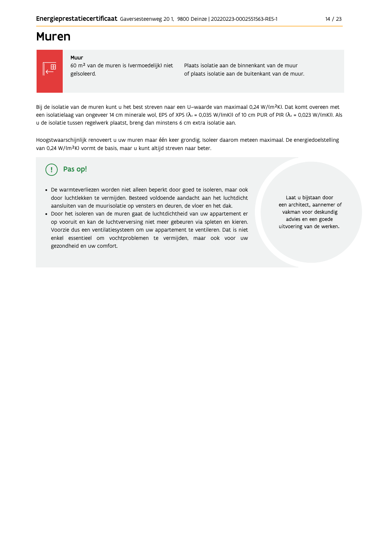# **Muren**



#### Muur

60 m<sup>2</sup> van de muren is (vermoedelijk) niet geïsoleerd.

Plaats isolatie aan de binnenkant van de muur of plaats isolatie aan de buitenkant van de muur.

Bij de isolatie van de muren kunt u het best streven naar een U-waarde van maximaal 0,24 W/(m<sup>2</sup>K). Dat komt overeen met een isolatielaag van ongeveer 14 cm minerale wol, EPS of XPS ( $\lambda_a$  = 0,035 W/(mK)) of 10 cm PUR of PIR ( $\lambda_a$  = 0,023 W/(mK)). Als u de isolatie tussen regelwerk plaatst, breng dan minstens 6 cm extra isolatie aan.

Hoogstwaarschijnlijk renoveert u uw muren maar één keer grondig. Isoleer daarom meteen maximaal. De energiedoelstelling van 0,24 W/(m<sup>2</sup>K) vormt de basis, maar u kunt altijd streven naar beter.

#### Pas op! (၂

- · De warmteverliezen worden niet alleen beperkt door goed te isoleren, maar ook door luchtlekken te vermijden. Besteed voldoende aandacht aan het luchtdicht aansluiten van de muurisolatie op vensters en deuren, de vloer en het dak.
- · Door het isoleren van de muren gaat de luchtdichtheid van uw appartement er op vooruit en kan de luchtverversing niet meer gebeuren via spleten en kieren. Voorzie dus een ventilatiesysteem om uw appartement te ventileren. Dat is niet enkel essentieel om vochtproblemen te vermijden, maar ook voor uw gezondheid en uw comfort.

Laat u bijstaan door een architect, aannemer of vakman voor deskundig advies en een goede uitvoering van de werken.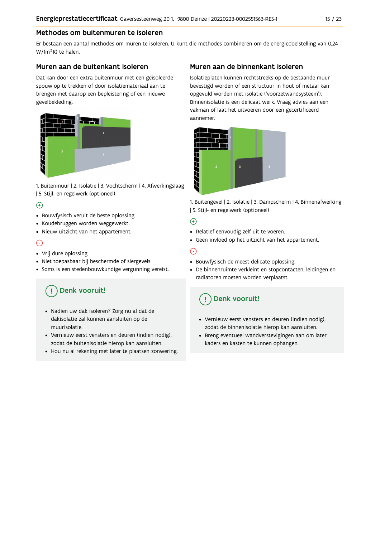# Methodes om buitenmuren te isoleren

Er bestaan een aantal methodes om muren te isoleren. U kunt die methodes combineren om de energiedoelstelling van 0,24 W/(m<sup>2</sup>K) te halen.

## Muren aan de buitenkant isoleren

Dat kan door een extra buitenmuur met een geïsoleerde spouw op te trekken of door isolatiemateriaal aan te brengen met daarop een bepleistering of een nieuwe gevelbekleding.



1. Buitenmuur | 2. Isolatie | 3. Vochtscherm | 4. Afwerkingslaag | 5. Stijl- en regelwerk (optioneel)

# $\bigoplus$

- Bouwfysisch veruit de beste oplossing.
- Koudebruggen worden weggewerkt.
- · Nieuw uitzicht van het appartement.

# $\odot$

- Vrij dure oplossing.
- · Niet toepasbaar bij beschermde of siergevels.
- Soms is een stedenbouwkundige vergunning vereist.

# Denk vooruit!

- · Nadien uw dak isoleren? Zorg nu al dat de dakisolatie zal kunnen aansluiten op de muurisolatie.
- · Vernieuw eerst vensters en deuren (indien nodig), zodat de buitenisolatie hierop kan aansluiten.
- Hou nu al rekening met later te plaatsen zonwering.

# Muren aan de binnenkant isoleren

Isolatieplaten kunnen rechtstreeks op de bestaande muur bevestigd worden of een structuur in hout of metaal kan opgevuld worden met isolatie ('voorzetwandsysteem'). Binnenisolatie is een delicaat werk. Vraag advies aan een vakman of laat het uitvoeren door een gecertificeerd aannemer



1. Buitengevel | 2. Isolatie | 3. Dampscherm | 4. Binnenafwerking | 5. Stijl- en regelwerk (optioneel)

# $\bigoplus$

- Relatief eenvoudig zelf uit te voeren.
- Geen invloed op het uitzicht van het appartement.

# ⊝

- Bouwfysisch de meest delicate oplossing.
- · De binnenruimte verkleint en stopcontacten, leidingen en radiatoren moeten worden verplaatst.

# Denk vooruit!

- Vernieuw eerst vensters en deuren (indien nodig), zodat de binnenisolatie hierop kan aansluiten.
- · Breng eventueel wandverstevigingen aan om later kaders en kasten te kunnen ophangen.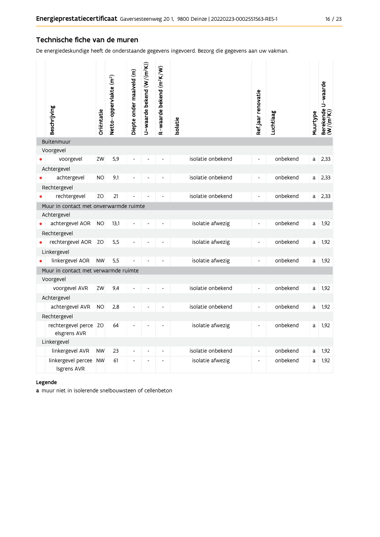## Technische fiche van de muren

De energiedeskundige heeft de onderstaande gegevens ingevoerd. Bezorg die gegevens aan uw vakman.

| Beschrijving                           | Oriëntatie | Netto-oppervlakte (m <sup>2</sup> ) | Diepte onder maaiveld (m) | U-waarde bekend (W/(m <sup>2</sup> K)) | R-waarde bekend (m <sup>2</sup> K/W) | solatie           | Ref jaar renovatie           | Luchtlaag | Muurtype | Berekende U-waarde<br>(W/(m <sup>2</sup> K)) |
|----------------------------------------|------------|-------------------------------------|---------------------------|----------------------------------------|--------------------------------------|-------------------|------------------------------|-----------|----------|----------------------------------------------|
| <b>Buitenmuur</b>                      |            |                                     |                           |                                        |                                      |                   |                              |           |          |                                              |
| Voorgevel                              |            |                                     |                           |                                        |                                      |                   |                              |           |          |                                              |
| voorgevel                              | ZW         | 5,9                                 |                           |                                        |                                      | isolatie onbekend | $\overline{\phantom{a}}$     | onbekend  | a        | 2,33                                         |
| Achtergevel                            |            |                                     |                           |                                        |                                      |                   |                              |           |          |                                              |
| achtergevel                            | <b>NO</b>  | 9,1                                 |                           |                                        |                                      | isolatie onbekend | $\frac{1}{2}$                | onbekend  | a        | 2,33                                         |
| Rechtergevel                           |            |                                     |                           |                                        |                                      |                   |                              |           |          |                                              |
| rechtergevel                           | ZO         | 21                                  |                           |                                        |                                      | isolatie onbekend | $\qquad \qquad \blacksquare$ | onbekend  | a l      | 2,33                                         |
| Muur in contact met onverwarmde ruimte |            |                                     |                           |                                        |                                      |                   |                              |           |          |                                              |
| Achtergevel                            |            |                                     |                           |                                        |                                      |                   |                              |           |          |                                              |
| achtergevel AOR                        | <b>NO</b>  | 13,1                                |                           |                                        |                                      | isolatie afwezig  | $\overline{\phantom{a}}$     | onbekend  | a        | 1,92                                         |
| Rechtergevel                           |            |                                     |                           |                                        |                                      |                   |                              |           |          |                                              |
| rechtergevel AOR                       | ZO         | 5,5                                 |                           |                                        |                                      | isolatie afwezig  | $\frac{1}{2}$                | onbekend  | a        | 1,92                                         |
| Linkergevel                            |            |                                     |                           |                                        |                                      |                   |                              |           |          |                                              |
| linkergevel AOR                        | <b>NW</b>  | 5,5                                 |                           |                                        |                                      | isolatie afwezig  | $\overline{\phantom{a}}$     | onbekend  | a        | 1,92                                         |
| Muur in contact met verwarmde ruimte   |            |                                     |                           |                                        |                                      |                   |                              |           |          |                                              |
| Voorgevel                              |            |                                     |                           |                                        |                                      |                   |                              |           |          |                                              |
| voorgevel AVR                          | ZW         | 9.4                                 |                           |                                        |                                      | isolatie onbekend | $\overline{a}$               | onbekend  | a        | 1,92                                         |
| Achtergevel                            |            |                                     |                           |                                        |                                      |                   |                              |           |          |                                              |
| achtergevel AVR                        | <b>NO</b>  | 2,8                                 |                           |                                        |                                      | isolatie onbekend | $\frac{1}{2}$                | onbekend  | a        | 1,92                                         |
| Rechtergevel                           |            |                                     |                           |                                        |                                      |                   |                              |           |          |                                              |
| rechtergevel perce ZO<br>elsgrens AVR  |            | 64                                  |                           |                                        |                                      | isolatie afwezig  | $\overline{\phantom{a}}$     | onbekend  | a        | 1,92                                         |
| Linkergevel                            |            |                                     |                           |                                        |                                      |                   |                              |           |          |                                              |
| linkergevel AVR                        | <b>NW</b>  | 23                                  | $\overline{\phantom{a}}$  | $\overline{\phantom{a}}$               | $\overline{\phantom{a}}$             | isolatie onbekend | $\overline{\phantom{a}}$     | onbekend  | a        | 1,92                                         |
| linkergevel percee NW<br>Isgrens AVR   |            | 61                                  | L,                        |                                        | ٠                                    | isolatie afwezig  | $\overline{\phantom{a}}$     | onbekend  | a        | 1,92                                         |

#### Legende

a muur niet in isolerende snelbouwsteen of cellenbeton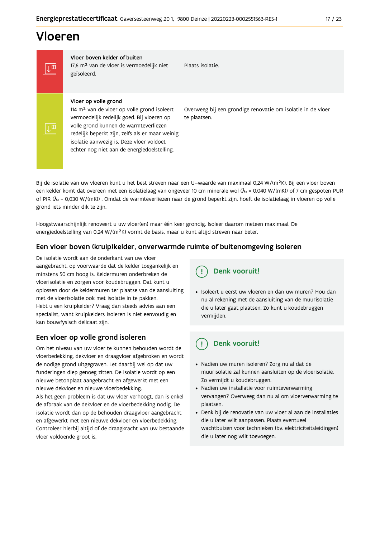# Vloeren

Vloer boven kelder of buiten IT 17,6 m<sup>2</sup> van de vloer is vermoedelijk niet geïsoleerd.

Plaats isolatie

### Vloer op volle grond

114 m<sup>2</sup> van de vloer op volle grond isoleert vermoedelijk redelijk goed. Bij vloeren op volle grond kunnen de warmteverliezen redelijk beperkt zijn, zelfs als er maar weinig isolatie aanwezig is. Deze vloer voldoet echter nog niet aan de energiedoelstelling.

Overweeg bij een grondige renovatie om isolatie in de vloer te plaatsen.

Bij de isolatie van uw vloeren kunt u het best streven naar een U-waarde van maximaal 0,24 W/(m<sup>2</sup>K). Bij een vloer boven een kelder komt dat overeen met een isolatielaag van ongeveer 10 cm minerale wol ( $\lambda_d$  = 0,040 W/(mK)) of 7 cm gespoten PUR of PIR ( $\lambda_0$  = 0,030 W/(mK)). Omdat de warmteverliezen naar de grond beperkt zijn, hoeft de isolatielaag in vloeren op volle grond iets minder dik te zijn.

Hoogstwaarschijnlijk renoveert u uw vloer(en) maar één keer grondig. Isoleer daarom meteen maximaal. De energiedoelstelling van 0,24 W/(m<sup>2</sup>K) vormt de basis, maar u kunt altijd streven naar beter.

### Een vloer boven (kruip)kelder, onverwarmde ruimte of buitenomgeving isoleren

De isolatie wordt aan de onderkant van uw vloer aangebracht, op voorwaarde dat de kelder toegankelijk en minstens 50 cm hoog is. Keldermuren onderbreken de vloerisolatie en zorgen voor koudebruggen. Dat kunt u oplossen door de keldermuren ter plaatse van de aansluiting met de vloerisolatie ook met isolatie in te pakken. Hebt u een kruipkelder? Vraag dan steeds advies aan een specialist, want kruipkelders isoleren is niet eenvoudig en kan bouwfysisch delicaat zijn.

### Een vloer op volle grond isoleren

Om het niveau van uw vloer te kunnen behouden wordt de vloerbedekking, dekvloer en draagvloer afgebroken en wordt de nodige grond uitgegraven. Let daarbij wel op dat uw funderingen diep genoeg zitten. De isolatie wordt op een nieuwe betonplaat aangebracht en afgewerkt met een nieuwe dekvloer en nieuwe vloerbedekking. Als het geen probleem is dat uw vloer verhoogt, dan is enkel

de afbraak van de dekvloer en de vloerbedekking nodig. De isolatie wordt dan op de behouden draagvloer aangebracht en afgewerkt met een nieuwe dekvloer en vloerbedekking. Controleer hierbij altijd of de draagkracht van uw bestaande vloer voldoende groot is.

# Denk vooruit!

· Isoleert u eerst uw vloeren en dan uw muren? Hou dan nu al rekening met de aansluiting van de muurisolatie die u later gaat plaatsen. Zo kunt u koudebruggen vermijden.

#### Denk vooruit! ្ម

- · Nadien uw muren isoleren? Zorg nu al dat de muurisolatie zal kunnen aansluiten op de vloerisolatie. Zo vermijdt u koudebruggen.
- Nadien uw installatie voor ruimteverwarming vervangen? Overweeg dan nu al om vloerverwarming te plaatsen.
- · Denk bij de renovatie van uw vloer al aan de installaties die u later wilt aanpassen. Plaats eventueel wachtbuizen voor technieken (bv. elektriciteitsleidingen) die u later nog wilt toevoegen.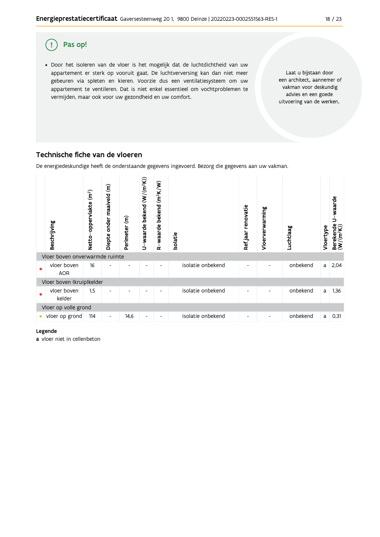

## Technische fiche van de vloeren

De energiedeskundige heeft de onderstaande gegevens ingevoerd. Bezorg die gegevens aan uw vakman.



#### Legende

a vloer niet in cellenbeton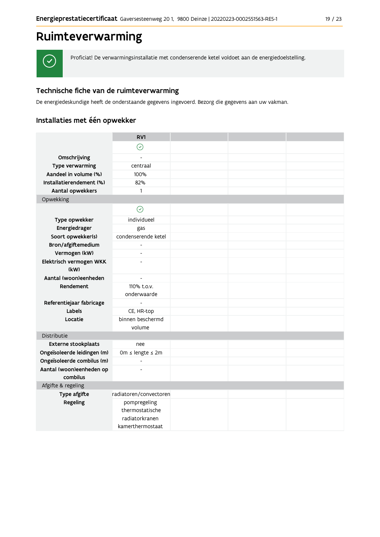# Ruimteverwarming



Proficiat! De verwarmingsinstallatie met condenserende ketel voldoet aan de energiedoelstelling.

# Technische fiche van de ruimteverwarming

De energiedeskundige heeft de onderstaande gegevens ingevoerd. Bezorg die gegevens aan uw vakman.

# Installaties met één opwekker

|                             | RV1                                               |  |  |
|-----------------------------|---------------------------------------------------|--|--|
|                             | $\odot$                                           |  |  |
| Omschrijving                |                                                   |  |  |
| Type verwarming             | centraal                                          |  |  |
| Aandeel in volume (%)       | 100%                                              |  |  |
| Installatierendement (%)    | 82%                                               |  |  |
| Aantal opwekkers            | $\mathbf{1}$                                      |  |  |
| Opwekking                   |                                                   |  |  |
|                             | $\odot$                                           |  |  |
| Type opwekker               | individueel                                       |  |  |
| Energiedrager               | gas                                               |  |  |
| Soort opwekker(s)           | condenserende ketel                               |  |  |
| Bron/afgiftemedium          | $\overline{\phantom{a}}$                          |  |  |
| Vermogen (kW)               | $\overline{a}$                                    |  |  |
| Elektrisch vermogen WKK     | $\overline{a}$                                    |  |  |
| (kW)                        |                                                   |  |  |
| Aantal (woon)eenheden       | $\overline{\phantom{a}}$                          |  |  |
| Rendement                   | 110% t.o.v.<br>onderwaarde                        |  |  |
| Referentiejaar fabricage    | $\blacksquare$                                    |  |  |
| Labels                      | CE, HR-top                                        |  |  |
| Locatie                     | binnen beschermd                                  |  |  |
|                             | volume                                            |  |  |
| Distributie                 |                                                   |  |  |
| Externe stookplaats         | nee                                               |  |  |
| Ongeïsoleerde leidingen (m) | 0m ≤ lengte ≤ 2m                                  |  |  |
| Ongeïsoleerde combilus (m)  | $\Box$                                            |  |  |
| Aantal (woon)eenheden op    | $\overline{a}$                                    |  |  |
| combilus                    |                                                   |  |  |
| Afgifte & regeling          |                                                   |  |  |
| Type afgifte                | radiatoren/convectoren                            |  |  |
| Regeling                    | pompregeling<br>thermostatische<br>radiatorkranen |  |  |
|                             | kamerthermostaat                                  |  |  |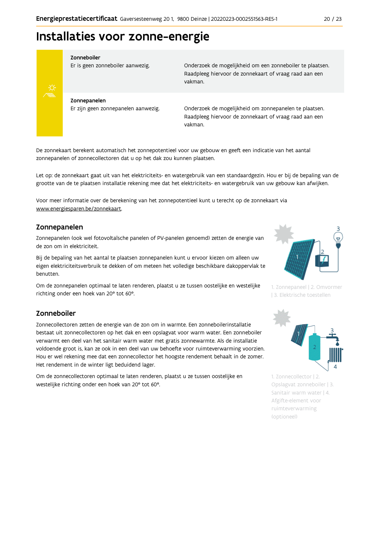# Installaties voor zonne-energie



#### Zonneboiler

Er is geen zonneboiler aanwezig.

Onderzoek de mogelijkheid om een zonneboiler te plaatsen. Raadpleeg hiervoor de zonnekaart of vraag raad aan een vakman.

Zonnepanelen Er zijn geen zonnepanelen aanwezig.

Onderzoek de mogelijkheid om zonnepanelen te plaatsen. Raadpleeg hiervoor de zonnekaart of vraag raad aan een vakman.

De zonnekaart berekent automatisch het zonnepotentieel voor uw gebouw en geeft een indicatie van het aantal zonnepanelen of zonnecollectoren dat u op het dak zou kunnen plaatsen.

Let op: de zonnekaart gaat uit van het elektriciteits- en watergebruik van een standaardgezin. Hou er bij de bepaling van de grootte van de te plaatsen installatie rekening mee dat het elektriciteits- en watergebruik van uw gebouw kan afwijken.

Voor meer informatie over de berekening van het zonnepotentieel kunt u terecht op de zonnekaart via www.energiesparen.be/zonnekaart.

### Zonnepanelen

Zonnepanelen (ook wel fotovoltaïsche panelen of PV-panelen genoemd) zetten de energie van de zon om in elektriciteit.

Bij de bepaling van het aantal te plaatsen zonnepanelen kunt u ervoor kiezen om alleen uw eigen elektriciteitsverbruik te dekken of om meteen het volledige beschikbare dakoppervlak te benutten.

Om de zonnepanelen optimaal te laten renderen, plaatst u ze tussen oostelijke en westelijke richting onder een hoek van 20° tot 60°.

### Zonneboiler

Zonnecollectoren zetten de energie van de zon om in warmte. Een zonneboilerinstallatie bestaat uit zonnecollectoren op het dak en een opslagvat voor warm water. Een zonneboiler verwarmt een deel van het sanitair warm water met gratis zonnewarmte. Als de installatie voldoende groot is, kan ze ook in een deel van uw behoefte voor ruimteverwarming voorzien. Hou er wel rekening mee dat een zonnecollector het hoogste rendement behaalt in de zomer. Het rendement in de winter ligt beduidend lager.

Om de zonnecollectoren optimaal te laten renderen, plaatst u ze tussen oostelijke en westelijke richting onder een hoek van 20° tot 60°.



1. Zonnepaneel | 2. Omvormer | 3. Elektrische toestellen



1. Zonnecollector | 2. Opslagvat zonneboiler | 3. Sanitair warm water | 4. Afgifte-element voor ruimteverwarming (optioneel)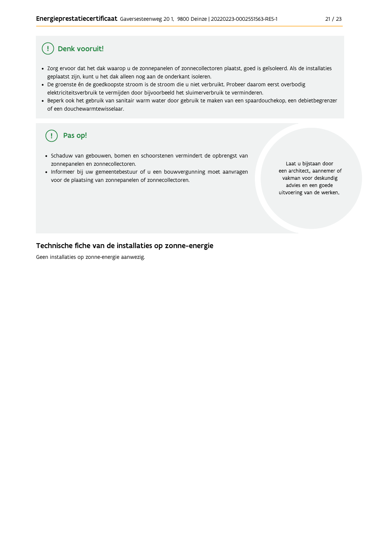#### Denk vooruit! Ţ

- · Zorg ervoor dat het dak waarop u de zonnepanelen of zonnecollectoren plaatst, goed is geïsoleerd. Als de installaties geplaatst zijn, kunt u het dak alleen nog aan de onderkant isoleren.
- · De groenste én de goedkoopste stroom is de stroom die u niet verbruikt. Probeer daarom eerst overbodig elektriciteitsverbruik te vermijden door bijvoorbeeld het sluimerverbruik te verminderen.
- · Beperk ook het gebruik van sanitair warm water door gebruik te maken van een spaardouchekop, een debietbegrenzer of een douchewarmtewisselaar.

#### Pas op! ( !

- · Schaduw van gebouwen, bomen en schoorstenen vermindert de opbrengst van zonnepanelen en zonnecollectoren.
- Informeer bij uw gemeentebestuur of u een bouwvergunning moet aanvragen voor de plaatsing van zonnepanelen of zonnecollectoren.

Laat u bijstaan door een architect, aannemer of vakman voor deskundig advies en een goede uitvoering van de werken.

### Technische fiche van de installaties op zonne-energie

Geen installaties op zonne-energie aanwezig.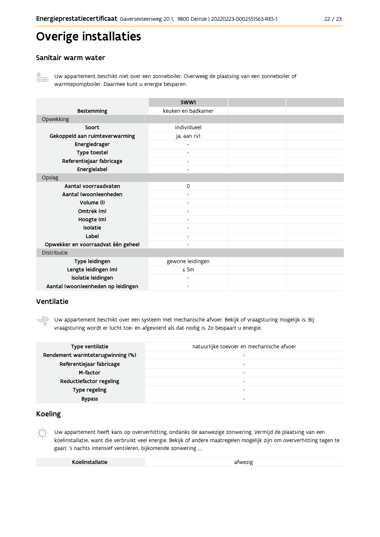# Overige installaties

## Sanitair warm water



Uw appartement beschikt niet over een zonneboiler. Overweeg de plaatsing van een zonneboiler of warmtepompboiler. Daarmee kunt u energie besparen.

|                                    | SWW1                     |  |
|------------------------------------|--------------------------|--|
| <b>Bestemming</b>                  | keuken en badkamer       |  |
| Opwekking                          |                          |  |
| Soort                              | individueel              |  |
| Gekoppeld aan ruimteverwarming     | ja, aan rv1              |  |
| Energiedrager                      |                          |  |
| Type toestel                       | $\overline{\phantom{a}}$ |  |
| Referentiejaar fabricage           | $\overline{\phantom{a}}$ |  |
| Energielabel                       |                          |  |
| Opslag                             |                          |  |
| Aantal voorraadvaten               | 0                        |  |
| Aantal (woon)eenheden              | $\blacksquare$           |  |
| Volume (I)                         |                          |  |
| Omtrek (m)                         |                          |  |
| Hoogte (m)                         |                          |  |
| Isolatie                           | $\overline{\phantom{a}}$ |  |
| Label                              | $\overline{\phantom{0}}$ |  |
| Opwekker en voorraadvat één geheel |                          |  |
| Distributie                        |                          |  |
| Type leidingen                     | gewone leidingen         |  |
| Lengte leidingen (m)               | $\leq$ 5m                |  |
| Isolatie leidingen                 |                          |  |
| Aantal (woon)eenheden op leidingen |                          |  |

## Ventilatie

Uw appartement beschikt over een systeem met mechanische afvoer. Bekijk of vraagsturing mogelijk is. Bij vraagsturing wordt er lucht toe- en afgevoerd als dat nodig is. Zo bespaart u energie.

| Type ventilatie                  | natuurlijke toevoer en mechanische afvoer |
|----------------------------------|-------------------------------------------|
| Rendement warmteterugwinning (%) | $\overline{\phantom{0}}$                  |
| Referentiejaar fabricage         | -                                         |
| M-factor                         |                                           |
| Reductiefactor regeling          | $\overline{\phantom{a}}$                  |
| Type regeling                    |                                           |
| <b>Bypass</b>                    |                                           |

### **Koeling**

Uw appartement heeft kans op oververhitting, ondanks de aanwezige zonwering. Vermijd de plaatsing van een koelinstallatie, want die verbruikt veel energie. Bekijk of andere maatregelen mogelijk zijn om oververhitting tegen te gaan: 's nachts intensief ventileren, bijkomende zonwering ...